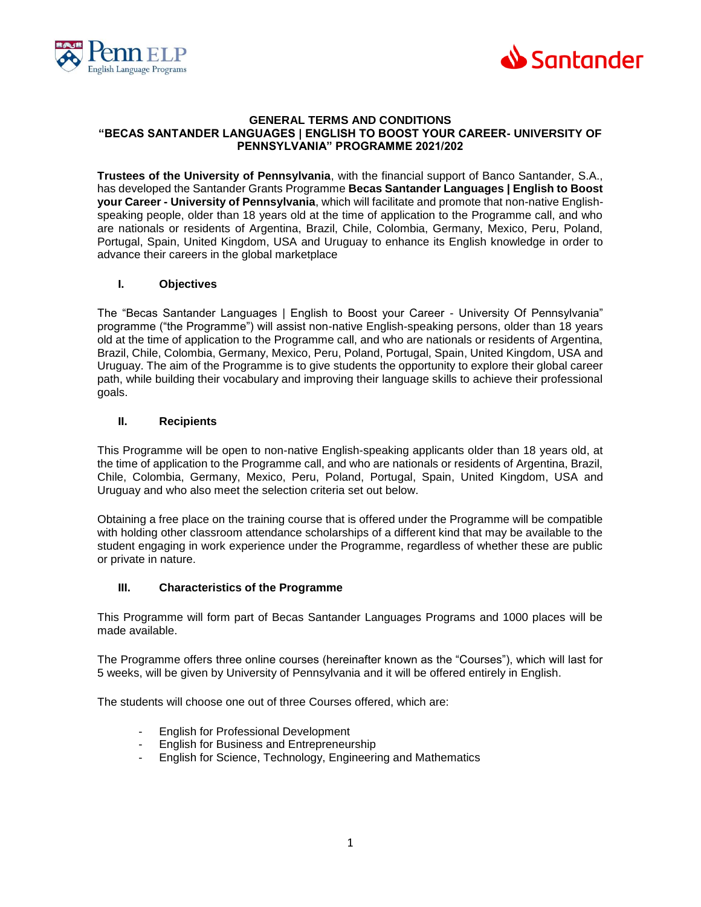



#### **GENERAL TERMS AND CONDITIONS "BECAS SANTANDER LANGUAGES | ENGLISH TO BOOST YOUR CAREER- UNIVERSITY OF PENNSYLVANIA" PROGRAMME 2021/202**

**Trustees of the University of Pennsylvania**, with the financial support of Banco Santander, S.A., has developed the Santander Grants Programme **Becas Santander Languages | English to Boost your Career - University of Pennsylvania**, which will facilitate and promote that non-native Englishspeaking people, older than 18 years old at the time of application to the Programme call, and who are nationals or residents of Argentina, Brazil, Chile, Colombia, Germany, Mexico, Peru, Poland, Portugal, Spain, United Kingdom, USA and Uruguay to enhance its English knowledge in order to advance their careers in the global marketplace

## **I. Objectives**

The "Becas Santander Languages | English to Boost your Career - University Of Pennsylvania" programme ("the Programme") will assist non-native English-speaking persons, older than 18 years old at the time of application to the Programme call, and who are nationals or residents of Argentina, Brazil, Chile, Colombia, Germany, Mexico, Peru, Poland, Portugal, Spain, United Kingdom, USA and Uruguay. The aim of the Programme is to give students the opportunity to explore their global career path, while building their vocabulary and improving their language skills to achieve their professional goals.

## **II. Recipients**

This Programme will be open to non-native English-speaking applicants older than 18 years old, at the time of application to the Programme call, and who are nationals or residents of Argentina, Brazil, Chile, Colombia, Germany, Mexico, Peru, Poland, Portugal, Spain, United Kingdom, USA and Uruguay and who also meet the selection criteria set out below.

Obtaining a free place on the training course that is offered under the Programme will be compatible with holding other classroom attendance scholarships of a different kind that may be available to the student engaging in work experience under the Programme, regardless of whether these are public or private in nature.

# **III. Characteristics of the Programme**

This Programme will form part of Becas Santander Languages Programs and 1000 places will be made available.

The Programme offers three online courses (hereinafter known as the "Courses"), which will last for 5 weeks, will be given by University of Pennsylvania and it will be offered entirely in English.

The students will choose one out of three Courses offered, which are:

- English for Professional Development
- English for Business and Entrepreneurship
- English for Science, Technology, Engineering and Mathematics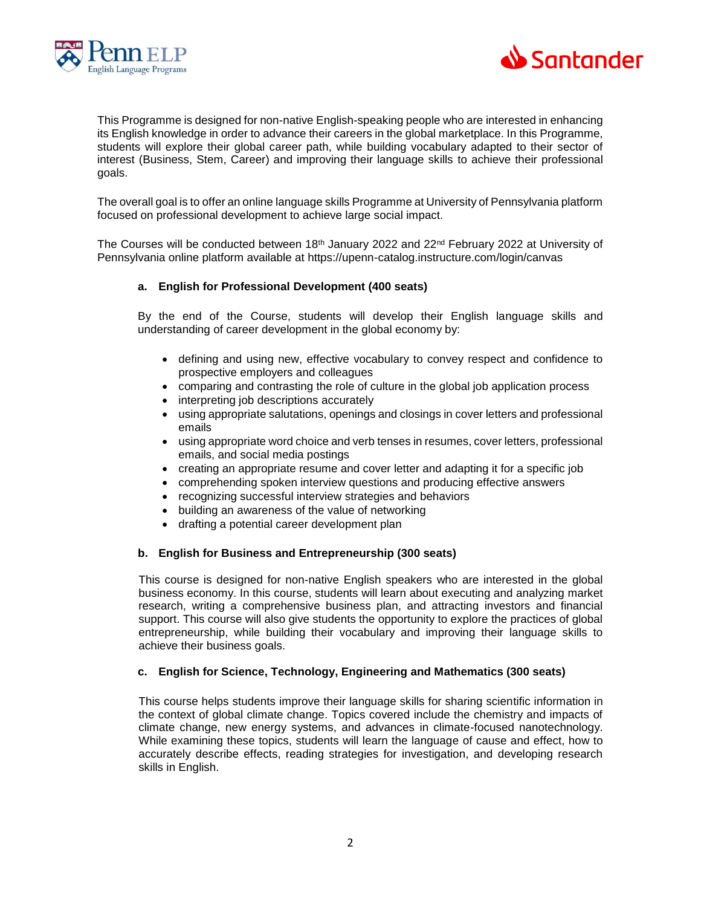



This Programme is designed for non-native English-speaking people who are interested in enhancing its English knowledge in order to advance their careers in the global marketplace. In this Programme, students will explore their global career path, while building vocabulary adapted to their sector of interest (Business, Stem, Career) and improving their language skills to achieve their professional goals.

The overall goal is to offer an online language skills Programme at University of Pennsylvania platform focused on professional development to achieve large social impact.

The Courses will be conducted between 18<sup>th</sup> January 2022 and 22<sup>nd</sup> February 2022 at University of Pennsylvania online platform available at https://upenn-catalog.instructure.com/login/canvas

## **a. English for Professional Development (400 seats)**

By the end of the Course, students will develop their English language skills and understanding of career development in the global economy by:

- defining and using new, effective vocabulary to convey respect and confidence to prospective employers and colleagues
- comparing and contrasting the role of culture in the global job application process
- interpreting job descriptions accurately
- using appropriate salutations, openings and closings in cover letters and professional emails
- using appropriate word choice and verb tenses in resumes, cover letters, professional emails, and social media postings
- creating an appropriate resume and cover letter and adapting it for a specific job
- comprehending spoken interview questions and producing effective answers
- recognizing successful interview strategies and behaviors
- building an awareness of the value of networking
- drafting a potential career development plan

## **b. English for Business and Entrepreneurship (300 seats)**

This course is designed for non-native English speakers who are interested in the global business economy. In this course, students will learn about executing and analyzing market research, writing a comprehensive business plan, and attracting investors and financial support. This course will also give students the opportunity to explore the practices of global entrepreneurship, while building their vocabulary and improving their language skills to achieve their business goals.

## **c. English for Science, Technology, Engineering and Mathematics (300 seats)**

This course helps students improve their language skills for sharing scientific information in the context of global climate change. Topics covered include the chemistry and impacts of climate change, new energy systems, and advances in climate-focused nanotechnology. While examining these topics, students will learn the language of cause and effect, how to accurately describe effects, reading strategies for investigation, and developing research skills in English.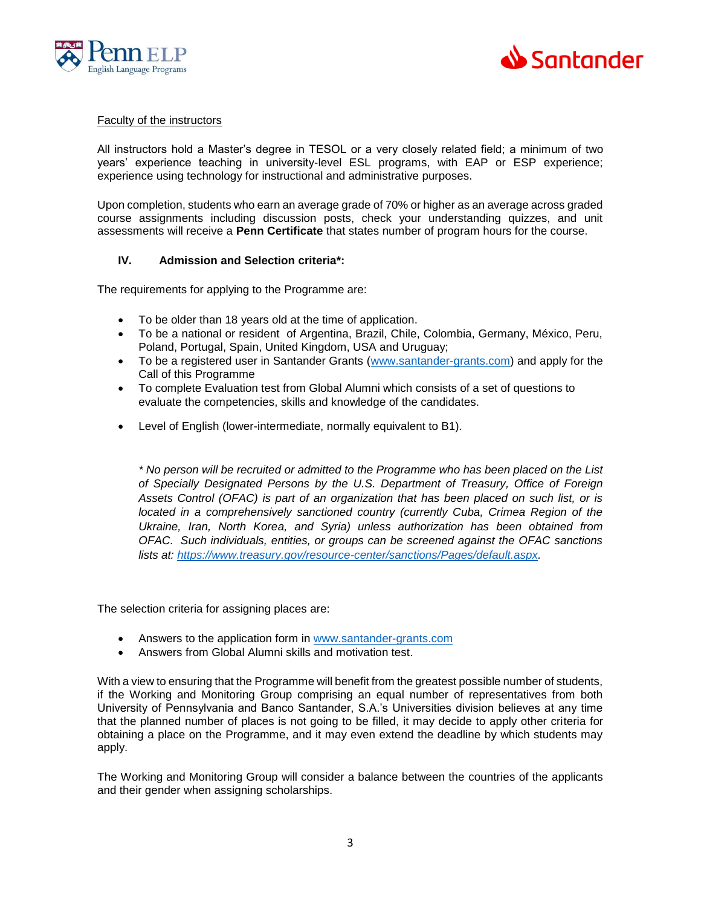



#### Faculty of the instructors

All instructors hold a Master's degree in TESOL or a very closely related field; a minimum of two years' experience teaching in university-level ESL programs, with EAP or ESP experience; experience using technology for instructional and administrative purposes.

Upon completion, students who earn an average grade of 70% or higher as an average across graded course assignments including discussion posts, check your understanding quizzes, and unit assessments will receive a **Penn Certificate** that states number of program hours for the course.

## **IV. Admission and Selection criteria\*:**

The requirements for applying to the Programme are:

- To be older than 18 years old at the time of application.
- To be a national or resident of Argentina, Brazil, Chile, Colombia, Germany, México, Peru, Poland, Portugal, Spain, United Kingdom, USA and Uruguay;
- To be a registered user in Santander Grants [\(www.santander-grants.com\)](http://www.santander-grants.com/) and apply for the Call of this Programme
- To complete Evaluation test from Global Alumni which consists of a set of questions to evaluate the competencies, skills and knowledge of the candidates.
- Level of English (lower-intermediate, normally equivalent to B1).

*\* No person will be recruited or admitted to the Programme who has been placed on the List of Specially Designated Persons by the U.S. Department of Treasury, Office of Foreign Assets Control (OFAC) is part of an organization that has been placed on such list, or is located in a comprehensively sanctioned country (currently Cuba, Crimea Region of the Ukraine, Iran, North Korea, and Syria) unless authorization has been obtained from OFAC. Such individuals, entities, or groups can be screened against the OFAC sanctions lists at: [https://www.treasury.gov/resource-center/sanctions/Pages/default.aspx.](https://www.treasury.gov/resource-center/sanctions/Pages/default.aspx)* 

The selection criteria for assigning places are:

- Answers to the application form in [www.santander-grants.com](http://www.santander-grants.com/)
- Answers from Global Alumni skills and motivation test.

With a view to ensuring that the Programme will benefit from the greatest possible number of students, if the Working and Monitoring Group comprising an equal number of representatives from both University of Pennsylvania and Banco Santander, S.A.'s Universities division believes at any time that the planned number of places is not going to be filled, it may decide to apply other criteria for obtaining a place on the Programme, and it may even extend the deadline by which students may apply.

The Working and Monitoring Group will consider a balance between the countries of the applicants and their gender when assigning scholarships.